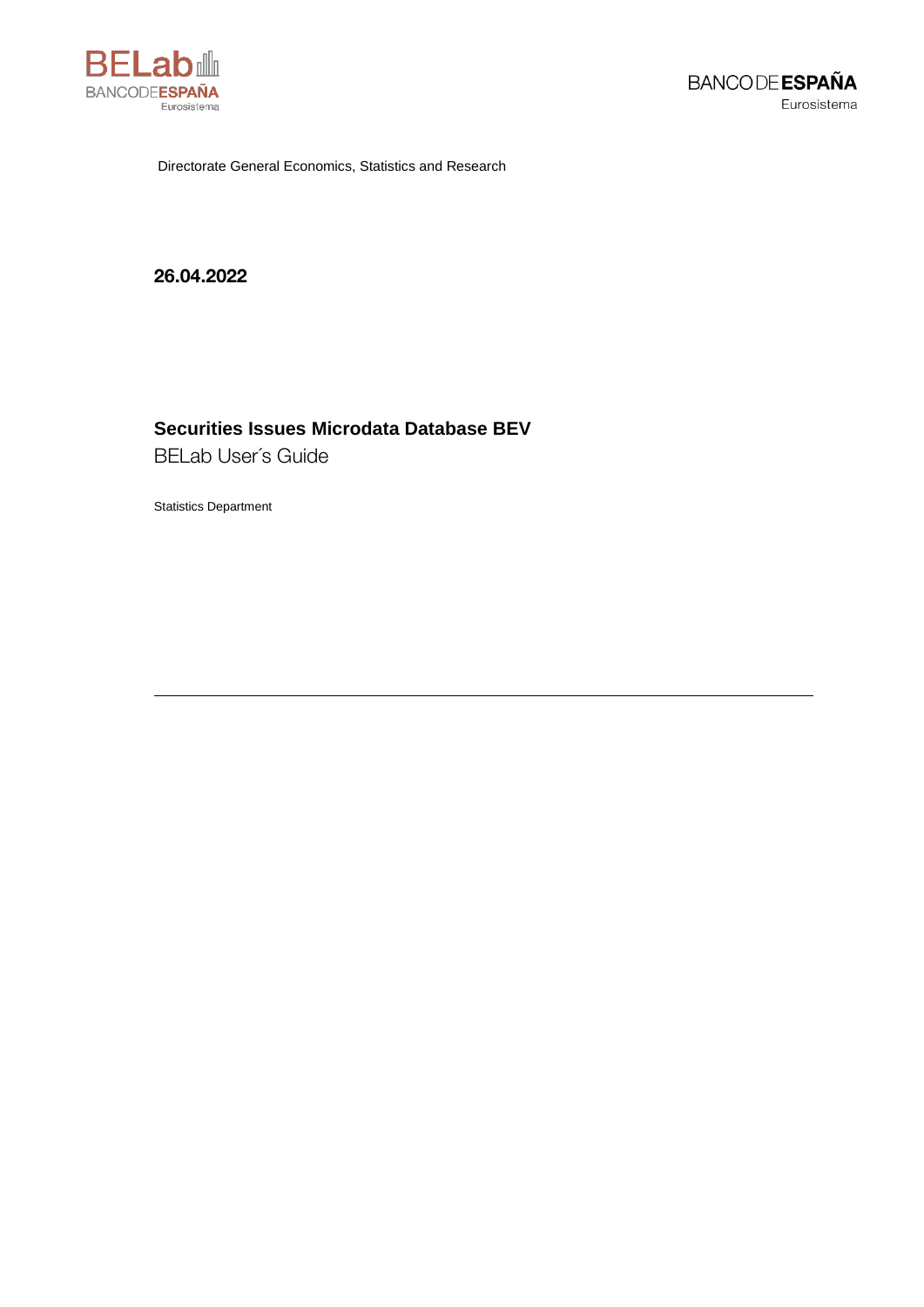

Directorate General Economics, Statistics and Research

26.04.2022

# Securities Issues Microdata Database BEV

**BELab User's Guide** 

**Statistics Department**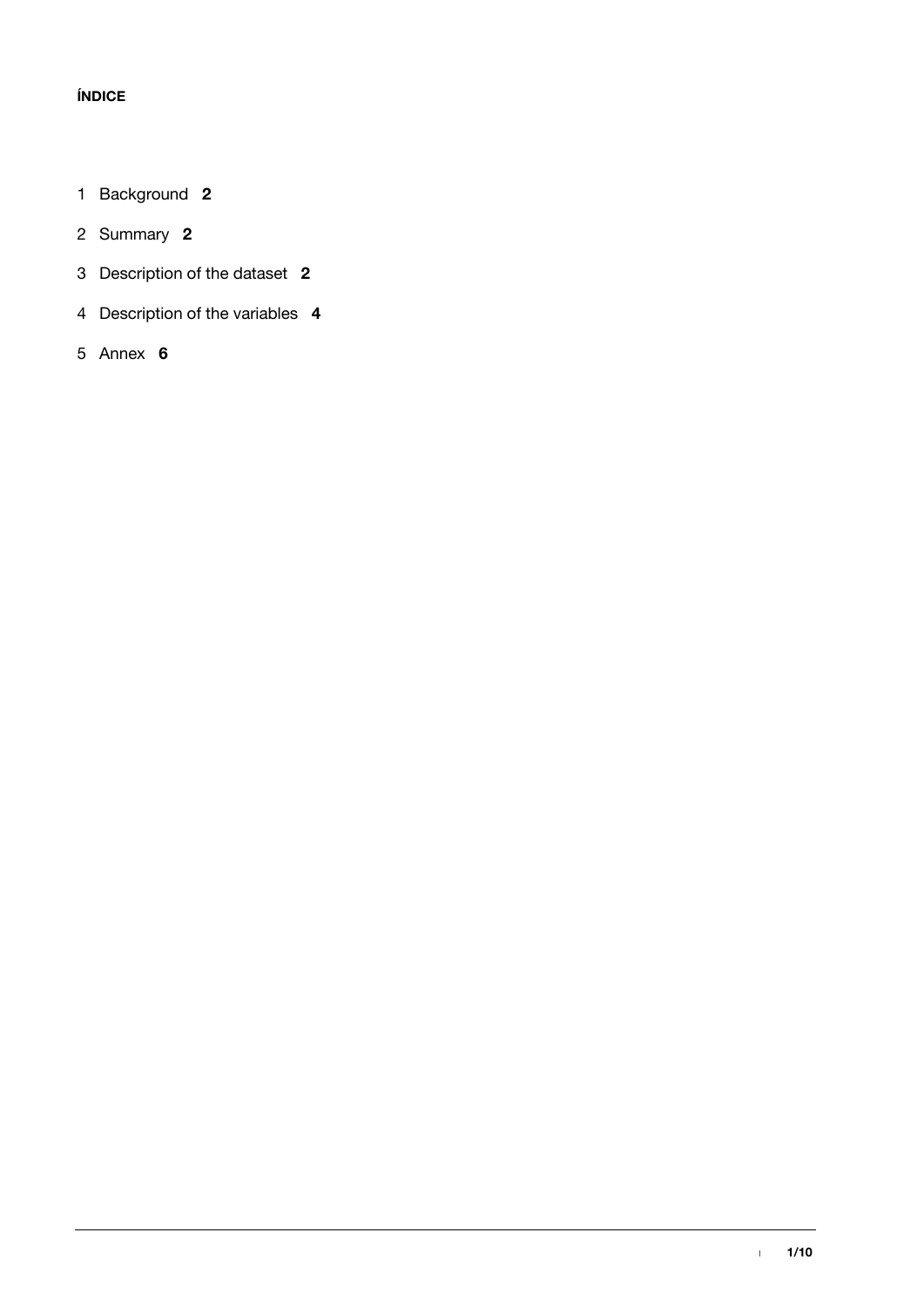## **ÍNDICE**

- [Background](#page-3-0) **2**
- [Summary](#page-3-1) **2**
- [Description of the dataset](#page-3-2) **2**
- [Description of the variables](#page-5-0) **4**
- [Annex](#page-7-0) **6**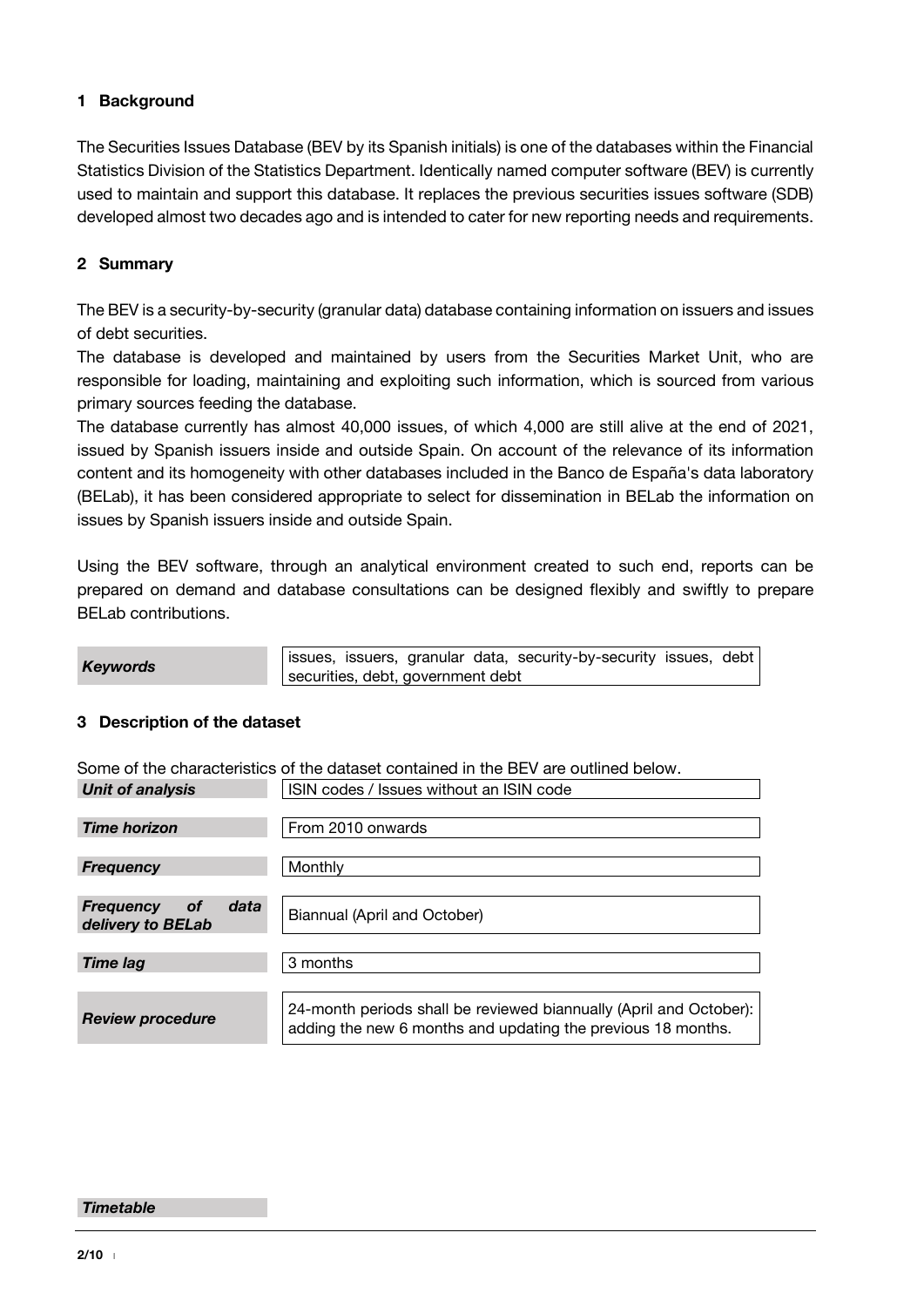## <span id="page-3-0"></span>**1 Background**

The Securities Issues Database (BEV by its Spanish initials) is one of the databases within the Financial Statistics Division of the Statistics Department. Identically named computer software (BEV) is currently used to maintain and support this database. It replaces the previous securities issues software (SDB) developed almost two decades ago and is intended to cater for new reporting needs and requirements.

## <span id="page-3-1"></span>**2 Summary**

The BEV is a security-by-security (granular data) database containing information on issuers and issues of debt securities.

The database is developed and maintained by users from the Securities Market Unit, who are responsible for loading, maintaining and exploiting such information, which is sourced from various primary sources feeding the database.

The database currently has almost 40,000 issues, of which 4,000 are still alive at the end of 2021, issued by Spanish issuers inside and outside Spain. On account of the relevance of its information content and its homogeneity with other databases included in the Banco de España's data laboratory (BELab), it has been considered appropriate to select for dissemination in BELab the information on issues by Spanish issuers inside and outside Spain.

Using the BEV software, through an analytical environment created to such end, reports can be prepared on demand and database consultations can be designed flexibly and swiftly to prepare BELab contributions.

**Keywords issues, issuers, granular data, security-by-security issues, debt** securities, debt, government debt

### <span id="page-3-2"></span>**3 Description of the dataset**

Some of the characteristics of the dataset contained in the BEV are outlined below. *Unit of analysis* ISIN codes / Issues without an ISIN code

| <b>Time horizon</b>                                        | From 2010 onwards                                                                                                                  |
|------------------------------------------------------------|------------------------------------------------------------------------------------------------------------------------------------|
|                                                            |                                                                                                                                    |
| <b>Frequency</b>                                           | Monthly                                                                                                                            |
|                                                            |                                                                                                                                    |
| data<br><b>Frequency</b><br><b>of</b><br>delivery to BELab | Biannual (April and October)                                                                                                       |
|                                                            |                                                                                                                                    |
| Time lag                                                   | 3 months                                                                                                                           |
|                                                            |                                                                                                                                    |
| <b>Review procedure</b>                                    | 24-month periods shall be reviewed biannually (April and October):<br>adding the new 6 months and updating the previous 18 months. |

#### *Timetable*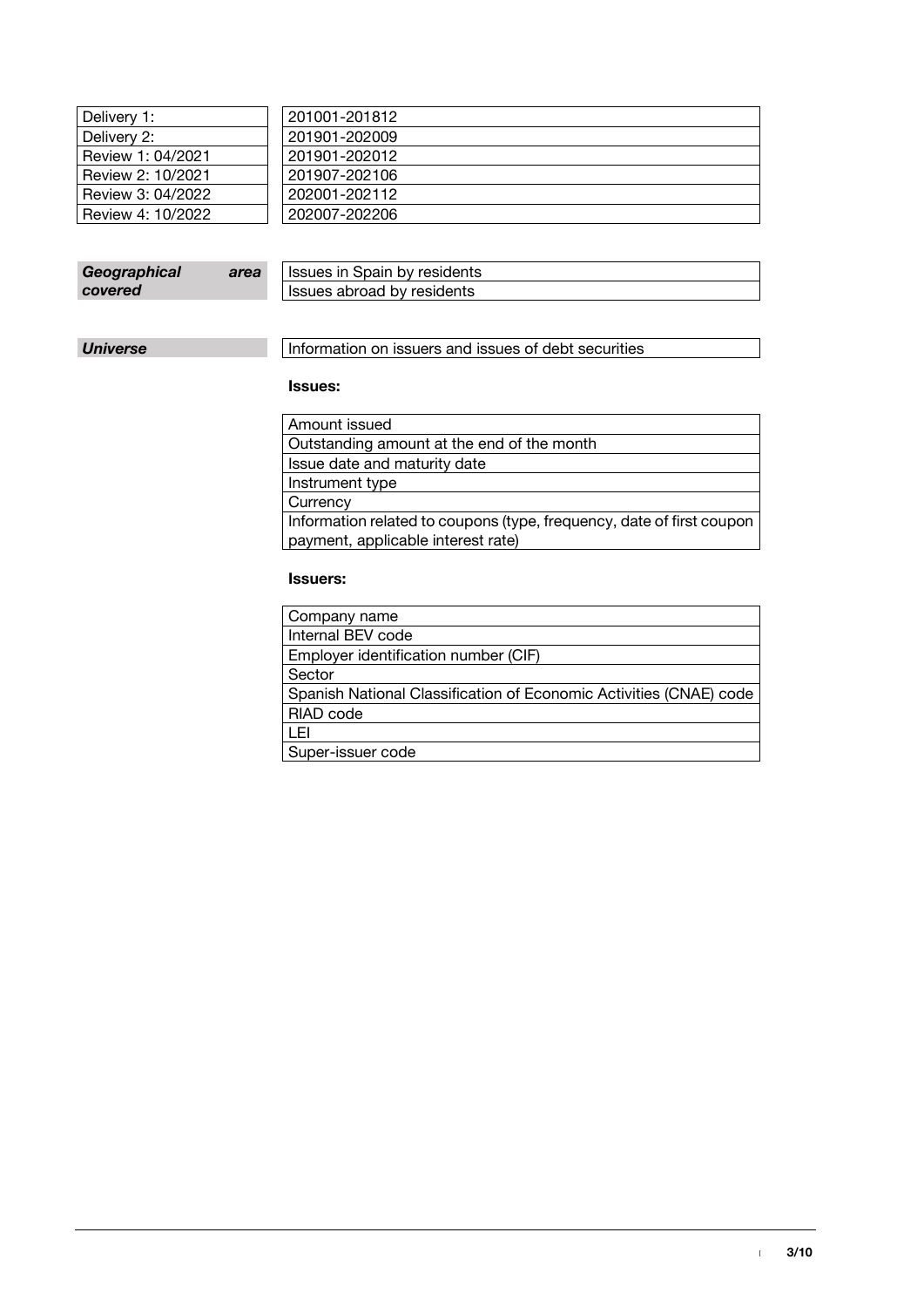| Delivery 1:       | 201001-201812 |
|-------------------|---------------|
| Delivery 2:       | 201901-202009 |
| Review 1: 04/2021 | 201901-202012 |
| Review 2: 10/2021 | 201907-202106 |
| Review 3: 04/2022 | 202001-202112 |
| Review 4: 10/2022 | 202007-202206 |
|                   |               |

| Geographical | area | <b>Issues in Spain by residents</b> |
|--------------|------|-------------------------------------|
| covered      |      | Issues abroad by residents          |

**Universe** Information on issuers and issues of debt securities

### **Issues:**

| Amount issued                                                         |
|-----------------------------------------------------------------------|
| Outstanding amount at the end of the month                            |
| Issue date and maturity date                                          |
| Instrument type                                                       |
| Currency                                                              |
| Information related to coupons (type, frequency, date of first coupon |
| payment, applicable interest rate)                                    |

#### **Issuers:**

| Company name                                                       |
|--------------------------------------------------------------------|
| Internal BEV code                                                  |
| Employer identification number (CIF)                               |
| Sector                                                             |
| Spanish National Classification of Economic Activities (CNAE) code |
| RIAD code                                                          |
| LEI                                                                |
| Super-issuer code                                                  |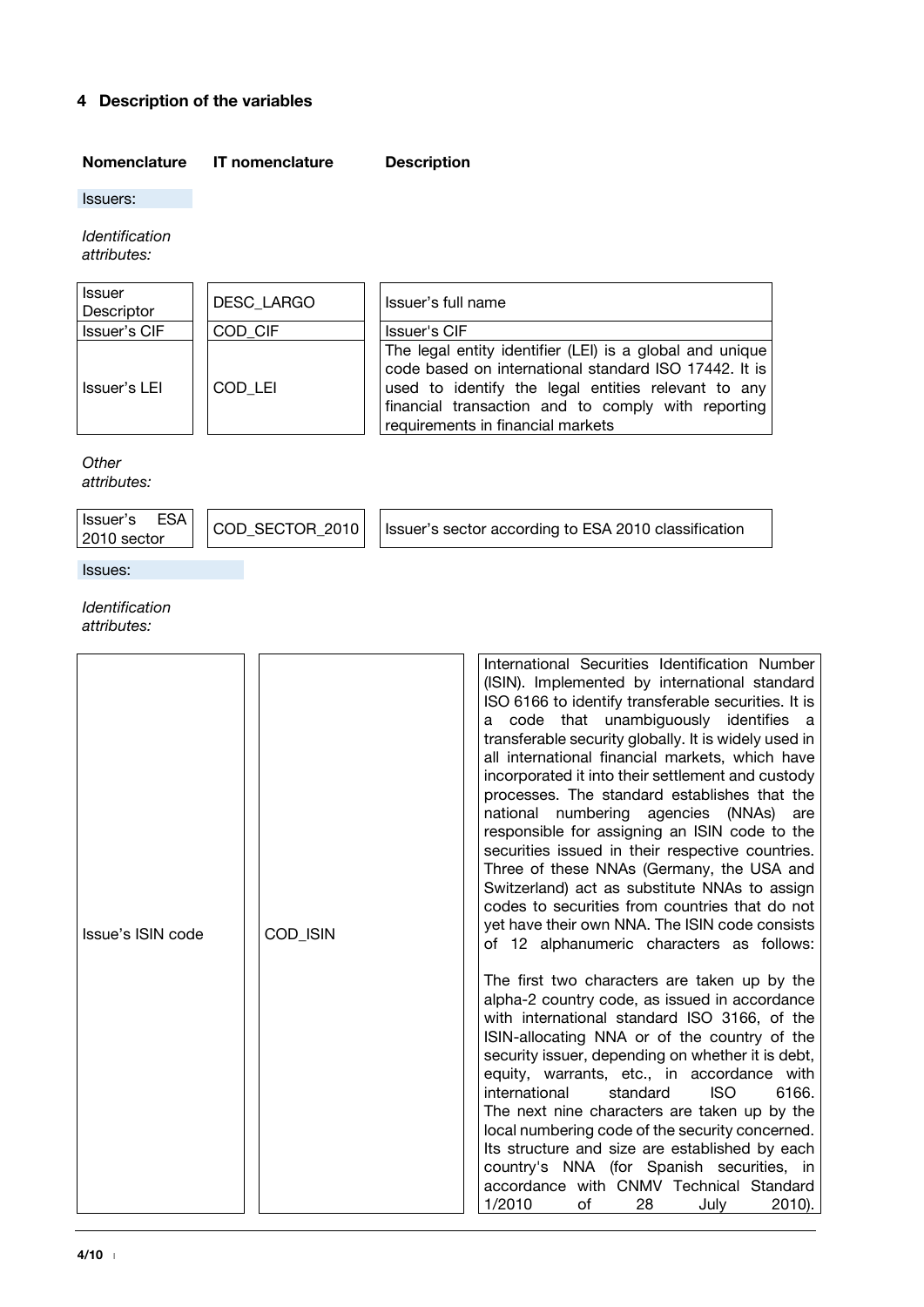## **4 Description of the variables**

### <span id="page-5-0"></span>**Nomenclature IT nomenclature Description**

Issuers:

*Identification attributes:*

| <b>Issuer</b><br>Descriptor | <b>DESC LARGO</b> | Issuer's full name                                                                                                                                                                                                                                                  |
|-----------------------------|-------------------|---------------------------------------------------------------------------------------------------------------------------------------------------------------------------------------------------------------------------------------------------------------------|
| Issuer's CIF                | COD CIF           | Issuer's CIF                                                                                                                                                                                                                                                        |
| Issuer's LEI                | COD LEI           | The legal entity identifier (LEI) is a global and unique<br>code based on international standard ISO 17442. It is<br>used to identify the legal entities relevant to any<br>financial transaction and to comply with reporting<br>requirements in financial markets |

*Other* 

*attributes:*

|  | Issuer's ESA  <br>  2010 sector |  | $\mid$ COD_SECTOR_2010 $\mid$ 1ssuer's sector according to ESA 2010 classification |
|--|---------------------------------|--|------------------------------------------------------------------------------------|
|--|---------------------------------|--|------------------------------------------------------------------------------------|

Issues:

#### *Identification attributes:*

| Issue's ISIN code | <b>COD ISIN</b> | International Securities Identification Number<br>(ISIN). Implemented by international standard<br>ISO 6166 to identify transferable securities. It is<br>a code that unambiguously identifies a<br>transferable security globally. It is widely used in<br>all international financial markets, which have<br>incorporated it into their settlement and custody<br>processes. The standard establishes that the<br>national numbering agencies (NNAs) are<br>responsible for assigning an ISIN code to the<br>securities issued in their respective countries.<br>Three of these NNAs (Germany, the USA and<br>Switzerland) act as substitute NNAs to assign<br>codes to securities from countries that do not<br>yet have their own NNA. The ISIN code consists<br>of 12 alphanumeric characters as follows: |
|-------------------|-----------------|----------------------------------------------------------------------------------------------------------------------------------------------------------------------------------------------------------------------------------------------------------------------------------------------------------------------------------------------------------------------------------------------------------------------------------------------------------------------------------------------------------------------------------------------------------------------------------------------------------------------------------------------------------------------------------------------------------------------------------------------------------------------------------------------------------------|
|                   |                 | The first two characters are taken up by the<br>alpha-2 country code, as issued in accordance<br>with international standard ISO 3166, of the<br>ISIN-allocating NNA or of the country of the<br>security issuer, depending on whether it is debt,<br>equity, warrants, etc., in accordance with<br>6166.<br><b>ISO</b><br>international<br>standard<br>The next nine characters are taken up by the<br>local numbering code of the security concerned.<br>Its structure and size are established by each<br>country's NNA (for Spanish securities, in<br>accordance with CNMV Technical Standard<br>1/2010<br>of<br>28<br>2010).<br>July                                                                                                                                                                      |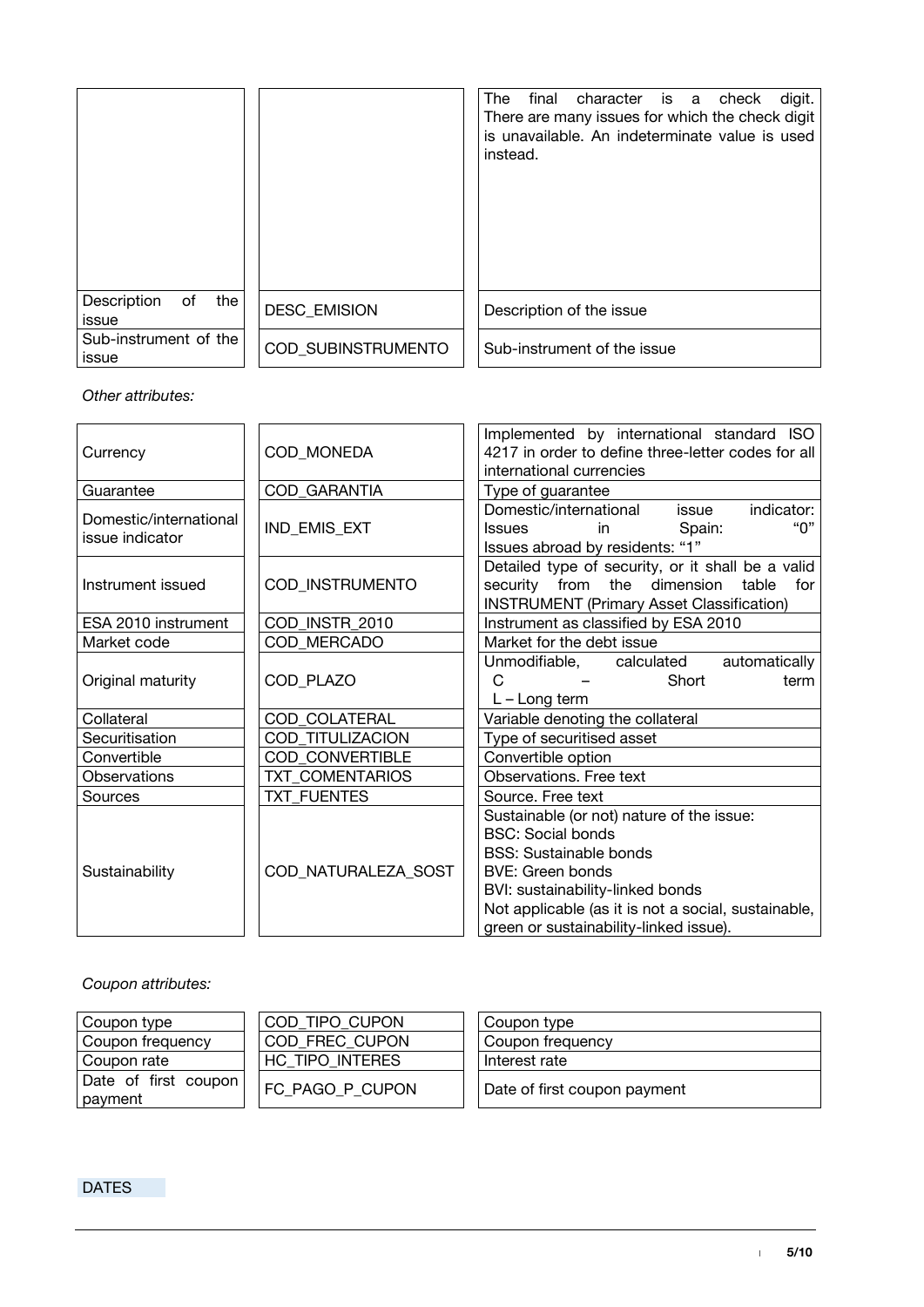|                                   |                           | The<br>final<br>character is a check<br>digit.<br>There are many issues for which the check digit<br>is unavailable. An indeterminate value is used<br>instead. |
|-----------------------------------|---------------------------|-----------------------------------------------------------------------------------------------------------------------------------------------------------------|
| the<br>Description<br>of<br>issue | <b>DESC EMISION</b>       | Description of the issue                                                                                                                                        |
| Sub-instrument of the<br>issue    | <b>COD SUBINSTRUMENTO</b> | Sub-instrument of the issue                                                                                                                                     |

### *Other attributes:*

| Currency                                  | COD_MONEDA             | Implemented by international standard ISO<br>4217 in order to define three-letter codes for all<br>international currencies                                                                                                                                            |
|-------------------------------------------|------------------------|------------------------------------------------------------------------------------------------------------------------------------------------------------------------------------------------------------------------------------------------------------------------|
| Guarantee                                 | COD_GARANTIA           | Type of guarantee                                                                                                                                                                                                                                                      |
| Domestic/international<br>issue indicator | IND_EMIS_EXT           | Domestic/international<br>indicator:<br>issue<br>"በ"<br>Spain:<br>in l<br><b>Issues</b><br>Issues abroad by residents: "1"                                                                                                                                             |
| Instrument issued                         | COD_INSTRUMENTO        | Detailed type of security, or it shall be a valid<br>security from the dimension<br>table<br>for<br><b>INSTRUMENT (Primary Asset Classification)</b>                                                                                                                   |
| ESA 2010 instrument                       | COD_INSTR_2010         | Instrument as classified by ESA 2010                                                                                                                                                                                                                                   |
| Market code                               | COD MERCADO            | Market for the debt issue                                                                                                                                                                                                                                              |
| Original maturity                         | COD_PLAZO              | automatically<br>Unmodifiable, calculated<br>C<br>Short<br>term<br>$L - Long term$                                                                                                                                                                                     |
| Collateral                                | COD_COLATERAL          | Variable denoting the collateral                                                                                                                                                                                                                                       |
| Securitisation                            | COD_TITULIZACION       | Type of securitised asset                                                                                                                                                                                                                                              |
| Convertible                               | <b>COD CONVERTIBLE</b> | Convertible option                                                                                                                                                                                                                                                     |
| <b>Observations</b>                       | TXT COMENTARIOS        | Observations. Free text                                                                                                                                                                                                                                                |
| Sources                                   | <b>TXT FUENTES</b>     | Source. Free text                                                                                                                                                                                                                                                      |
| Sustainability                            | COD_NATURALEZA_SOST    | Sustainable (or not) nature of the issue:<br><b>BSC: Social bonds</b><br><b>BSS: Sustainable bonds</b><br><b>BVE: Green bonds</b><br>BVI: sustainability-linked bonds<br>Not applicable (as it is not a social, sustainable,<br>green or sustainability-linked issue). |

*Coupon attributes:*

| Coupon type                     | COD TIPO CUPON  | Coupon type                  |
|---------------------------------|-----------------|------------------------------|
| Coupon frequency                | COD FREC CUPON  | Coupon frequency             |
| Coupon rate                     | HC TIPO INTERES | Interest rate                |
| Date of first coupon<br>payment | FC PAGO P CUPON | Date of first coupon payment |

**DATES**